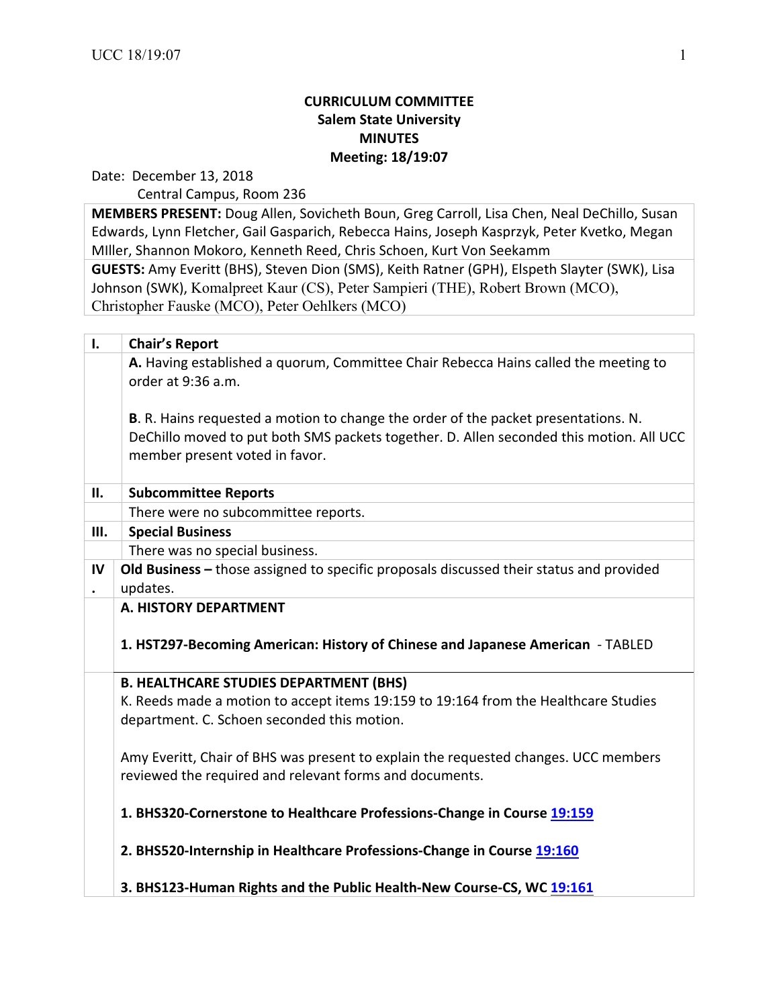## **CURRICULUM COMMITTEE Salem State University MINUTES Meeting: 18/19:07**

Date: December 13, 2018

Central Campus, Room 236

**MEMBERS PRESENT:** Doug Allen, Sovicheth Boun, Greg Carroll, Lisa Chen, Neal DeChillo, Susan Edwards, Lynn Fletcher, Gail Gasparich, Rebecca Hains, Joseph Kasprzyk, Peter Kvetko, Megan Miller, Shannon Mokoro, Kenneth Reed, Chris Schoen, Kurt Von Seekamm

**GUESTS:** Amy Everitt (BHS), Steven Dion (SMS), Keith Ratner (GPH), Elspeth Slayter (SWK), Lisa Johnson (SWK), Komalpreet Kaur (CS), Peter Sampieri (THE), Robert Brown (MCO), Christopher Fauske (MCO), Peter Oehlkers (MCO)

| $\mathbf{I}$ . | <b>Chair's Report</b>                                                                                     |
|----------------|-----------------------------------------------------------------------------------------------------------|
|                | A. Having established a quorum, Committee Chair Rebecca Hains called the meeting to<br>order at 9:36 a.m. |
|                | B. R. Hains requested a motion to change the order of the packet presentations. N.                        |
|                | DeChillo moved to put both SMS packets together. D. Allen seconded this motion. All UCC                   |
|                | member present voted in favor.                                                                            |
| П.             | <b>Subcommittee Reports</b>                                                                               |
|                | There were no subcommittee reports.                                                                       |
| III.           | <b>Special Business</b>                                                                                   |
|                | There was no special business.                                                                            |
| IV             | Old Business - those assigned to specific proposals discussed their status and provided                   |
|                | updates.                                                                                                  |
|                | A. HISTORY DEPARTMENT                                                                                     |
|                | 1. HST297-Becoming American: History of Chinese and Japanese American - TABLED                            |
|                | <b>B. HEALTHCARE STUDIES DEPARTMENT (BHS)</b>                                                             |
|                | K. Reeds made a motion to accept items 19:159 to 19:164 from the Healthcare Studies                       |
|                | department. C. Schoen seconded this motion.                                                               |
|                | Amy Everitt, Chair of BHS was present to explain the requested changes. UCC members                       |
|                | reviewed the required and relevant forms and documents.                                                   |
|                | 1. BHS320-Cornerstone to Healthcare Professions-Change in Course 19:159                                   |
|                | 2. BHS520-Internship in Healthcare Professions-Change in Course 19:160                                    |
|                | 3. BHS123-Human Rights and the Public Health-New Course-CS, WC 19:161                                     |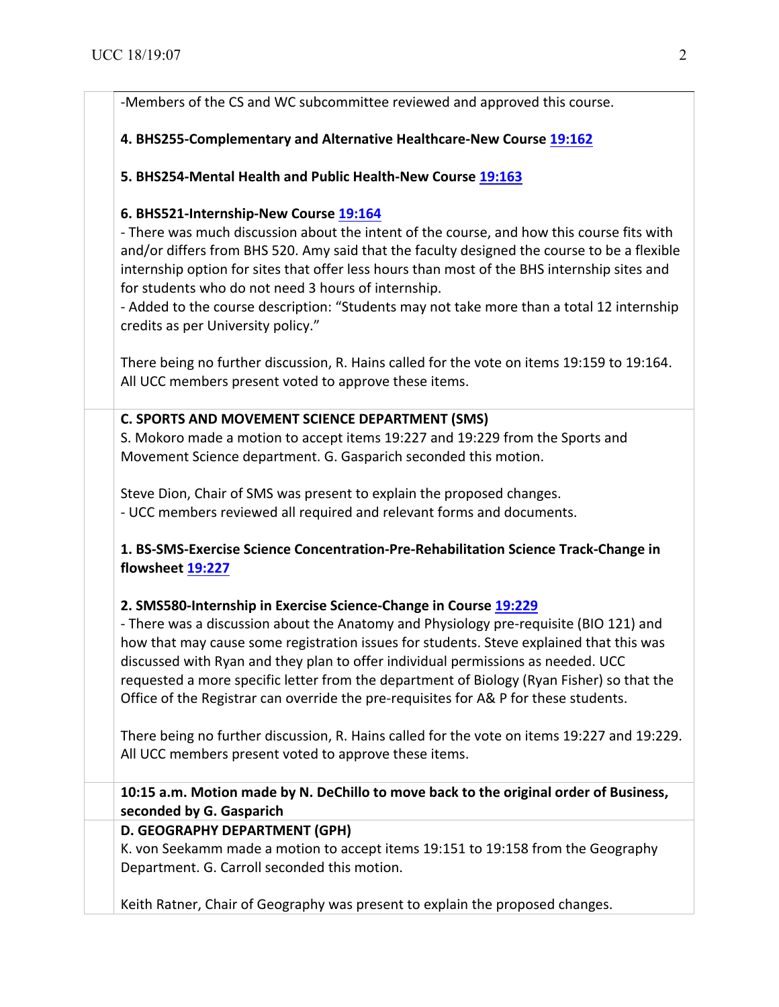-Members of the CS and WC subcommittee reviewed and approved this course.

## **4. BHS255-Complementary and Alternative Healthcare-New Course 19:162 19:162**

**5. BHS254-Mental Health and Public Health-New Course 19:163** 

#### **6. BHS521-Internship-New Course 19:164**

- There was much discussion about the intent of the course, and how this course fits with and/or differs from BHS 520. Amy said that the faculty designed the course to be a flexible internship option for sites that offer less hours than most of the BHS internship sites and for students who do not need 3 hours of internship.

- Added to the course description: "Students may not take more than a total 12 internship credits as per University policy."

There being no further discussion, R. Hains called for the vote on items 19:159 to 19:164. All UCC members present voted to approve these items.

#### **C. SPORTS AND MOVEMENT SCIENCE DEPARTMENT (SMS)**

S. Mokoro made a motion to accept items 19:227 and 19:229 from the Sports and Movement Science department. G. Gasparich seconded this motion.

Steve Dion, Chair of SMS was present to explain the proposed changes. - UCC members reviewed all required and relevant forms and documents.

## **1. BS-SMS-Exercise Science Concentration-Pre-Rehabilitation Science Track-Change in flowsheet 19:227 19:227**

## **2. SMS580-Internship in Exercise Science-Change in Course 19:229**

- There was a discussion about the Anatomy and Physiology pre-requisite (BIO 121) and how that may cause some registration issues for students. Steve explained that this was discussed with Ryan and they plan to offer individual permissions as needed. UCC requested a more specific letter from the department of Biology (Ryan Fisher) so that the Office of the Registrar can override the pre-requisites for A& P for these students.

There being no further discussion, R. Hains called for the vote on items 19:227 and 19:229. All UCC members present voted to approve these items.

**10:15** a.m. Motion made by N. DeChillo to move back to the original order of Business, **seconded by G. Gasparich**

## **D. GEOGRAPHY DEPARTMENT (GPH)**

K. von Seekamm made a motion to accept items 19:151 to 19:158 from the Geography Department. G. Carroll seconded this motion.

Keith Ratner, Chair of Geography was present to explain the proposed changes.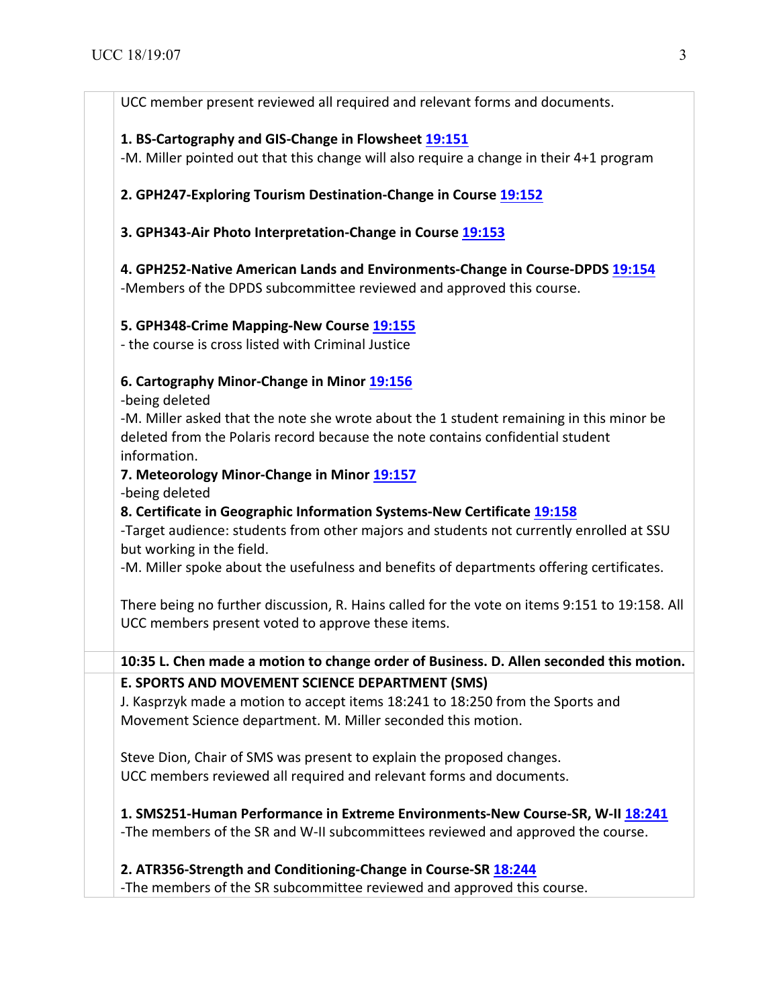UCC member present reviewed all required and relevant forms and documents.

# 1. BS-Cartography and GIS-Change in Flowsheet 19:151

-M. Miller pointed out that this change will also require a change in their 4+1 program

2. GPH247-Exploring Tourism Destination-Change in Course 19:152

**3. GPH343-Air Photo Interpretation-Change in Course 19:153** 

**4. GPH252-Native American Lands and Environments-Change in Course-DPDS 19:154** -Members of the DPDS subcommittee reviewed and approved this course.

## **5. GPH348-Crime Mapping-New Course 19:155 19:155**

- the course is cross listed with Criminal Justice

## **6. Cartography Minor-Change in Minor 19:156**

-being deleted

-M. Miller asked that the note she wrote about the 1 student remaining in this minor be deleted from the Polaris record because the note contains confidential student information. 

## **7. Meteorology Minor-Change in Minor 19:157**

-being deleted **Certificates Certificates Certificates <b>Certificates Certificates Certificates Certificates Certificates Certificates <b>Certificates Certificates Certificates Certificates** 

**8. Certificate in Geographic Information Systems-New Certificate 19:158** 

-Target audience: students from other majors and students not currently enrolled at SSU but working in the field.

-M. Miller spoke about the usefulness and benefits of departments offering certificates.

There being no further discussion, R. Hains called for the vote on items 9:151 to 19:158. All UCC members present voted to approve these items.

**10:35 L. Chen made a motion to change order of Business. D. Allen seconded this motion. E. SPORTS AND MOVEMENT SCIENCE DEPARTMENT (SMS)** 

J. Kasprzyk made a motion to accept items 18:241 to 18:250 from the Sports and Movement Science department. M. Miller seconded this motion.

Steve Dion, Chair of SMS was present to explain the proposed changes. UCC members reviewed all required and relevant forms and documents.

**1. SMS251-Human Performance in Extreme Environments-New Course-SR, W-II 18:241** -The members of the SR and W-II subcommittees reviewed and approved the course.

## **2. ATR356-Strength and Conditioning-Change in Course-SR 18:244**

-The members of the SR subcommittee reviewed and approved this course.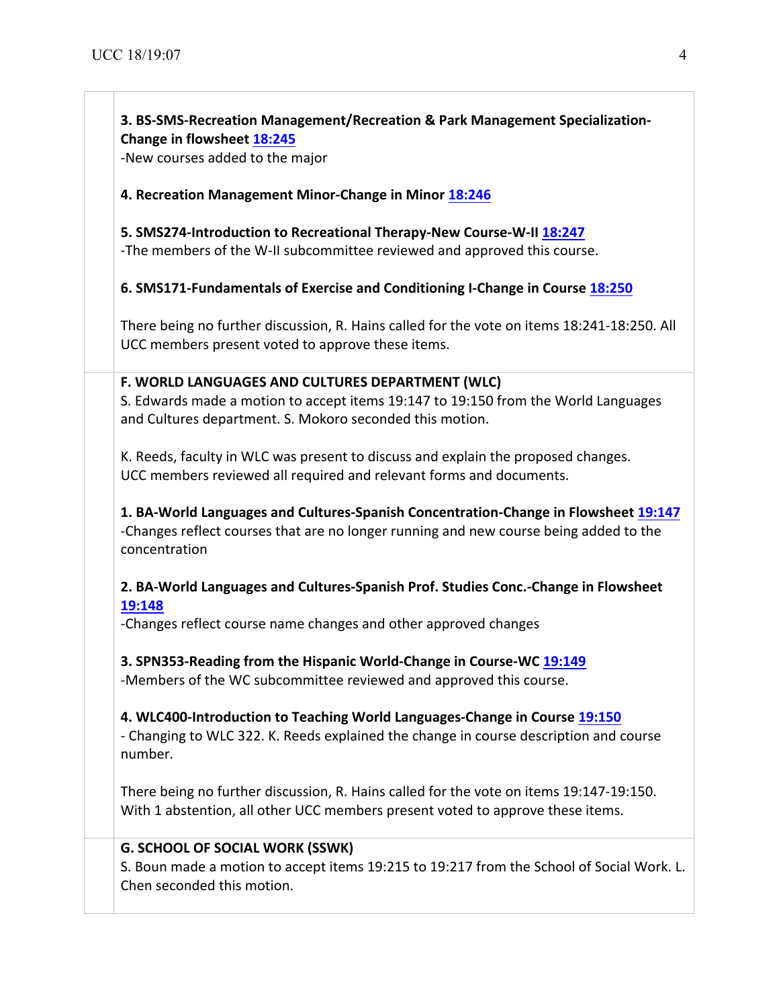# **3. BS-SMS-Recreation Management/Recreation & Park Management Specialization-Change in flowsheet 18:245**

-New courses added to the major

#### **4. Recreation Management Minor-Change in Minor 18:246**

**5. SMS274-Introduction to Recreational Therapy-New Course-W-II 18:247** -The members of the W-II subcommittee reviewed and approved this course.

**6. SMS171-Fundamentals of Exercise and Conditioning I-Change in Course 18:250** 

There being no further discussion, R. Hains called for the vote on items 18:241-18:250. All UCC members present voted to approve these items.

#### **F. WORLD LANGUAGES AND CULTURES DEPARTMENT (WLC)**

S. Edwards made a motion to accept items 19:147 to 19:150 from the World Languages and Cultures department. S. Mokoro seconded this motion.

K. Reeds, faculty in WLC was present to discuss and explain the proposed changes. UCC members reviewed all required and relevant forms and documents.

1. BA-World Languages and Cultures-Spanish Concentration-Change in Flowsheet 19:147 -Changes reflect courses that are no longer running and new course being added to the concentration

2. BA-World Languages and Cultures-Spanish Prof. Studies Conc.-Change in Flowsheet **19:148**

-Changes reflect course name changes and other approved changes

**3. SPN353-Reading from the Hispanic World-Change in Course-WC 19:149** -Members of the WC subcommittee reviewed and approved this course.

#### **4. WLC400-Introduction to Teaching World Languages-Change in Course 19:150**

- Changing to WLC 322. K. Reeds explained the change in course description and course number.

There being no further discussion, R. Hains called for the vote on items 19:147-19:150. With 1 abstention, all other UCC members present voted to approve these items.

#### **G. SCHOOL OF SOCIAL WORK (SSWK)**

S. Boun made a motion to accept items 19:215 to 19:217 from the School of Social Work. L. Chen seconded this motion.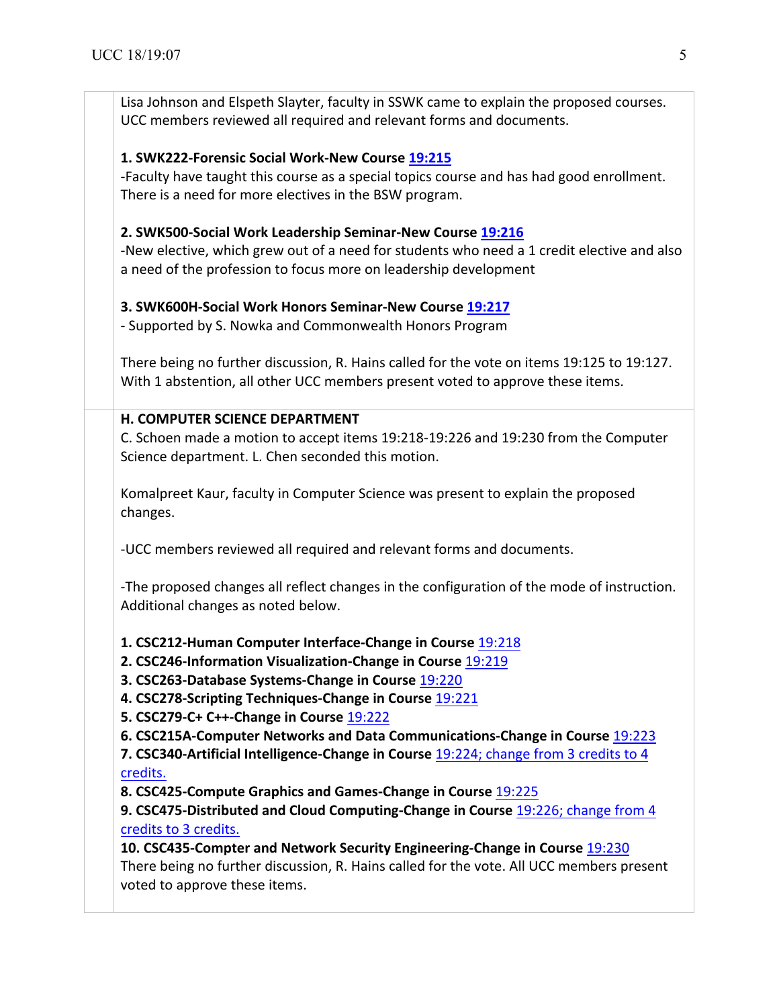Lisa Johnson and Elspeth Slayter, faculty in SSWK came to explain the proposed courses. UCC members reviewed all required and relevant forms and documents.

#### **1. SWK222-Forensic Social Work-New Course 19:215 19:215**

-Faculty have taught this course as a special topics course and has had good enrollment. There is a need for more electives in the BSW program.

#### **2. SWK500-Social Work Leadership Seminar-New Course 19:216**

-New elective, which grew out of a need for students who need a 1 credit elective and also a need of the profession to focus more on leadership development

## **3. SWK600H-Social Work Honors Seminar-New Course 19:217**

- Supported by S. Nowka and Commonwealth Honors Program

There being no further discussion, R. Hains called for the vote on items 19:125 to 19:127. With 1 abstention, all other UCC members present voted to approve these items.

#### **H. COMPUTER SCIENCE DEPARTMENT**

C. Schoen made a motion to accept items 19:218-19:226 and 19:230 from the Computer Science department. L. Chen seconded this motion.

Komalpreet Kaur, faculty in Computer Science was present to explain the proposed changes.

-UCC members reviewed all required and relevant forms and documents.

-The proposed changes all reflect changes in the configuration of the mode of instruction. Additional changes as noted below.

**1. CSC212-Human Computer Interface-Change in Course** 19:218 **19:218**

**2. CSC246-Information Visualization-Change in Course 19:219** 

**3. CSC263-Database Systems-Change in Course 19:220** 

**4. CSC278-Scripting Techniques-Change in Course** 19:221 **19:221**

**5. CSC279-C+ C++-Change in Course** 19:222 **19:222**

**6. CSC215A-Computer Networks and Data Communications-Change in Course** 19:223 **19:223**

**7. CSC340-Artificial Intelligence-Change in Course** 19:224; change from 3 credits to 4 credits. **19:224**

**8. CSC425-Compute Graphics and Games-Change in Course** 19:225 **19:225**

**9. CSC475-Distributed and Cloud Computing-Change in Course 19:226; change from 4** credits to 3 credits.

**10. CSC435-Compter and Network Security Engineering-Change in Course 19:230** There being no further discussion, R. Hains called for the vote. All UCC members present voted to approve these items.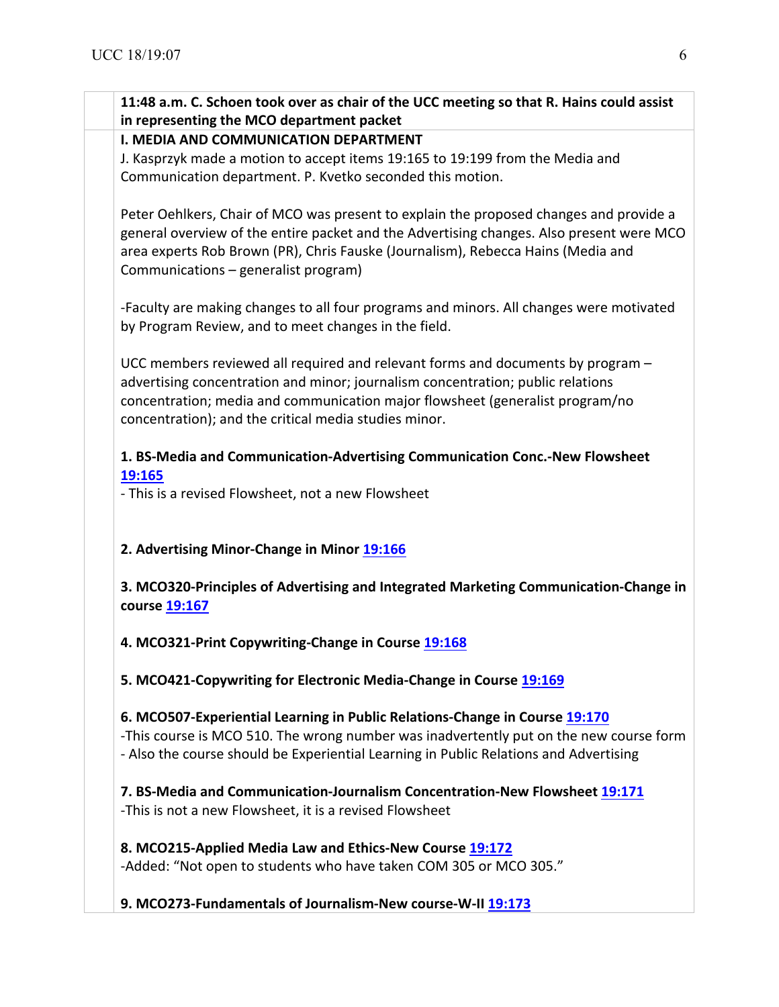|                                                                                          | 11:48 a.m. C. Schoen took over as chair of the UCC meeting so that R. Hains could assist<br>in representing the MCO department packet |  |
|------------------------------------------------------------------------------------------|---------------------------------------------------------------------------------------------------------------------------------------|--|
|                                                                                          | <b>I. MEDIA AND COMMUNICATION DEPARTMENT</b>                                                                                          |  |
|                                                                                          | J. Kasprzyk made a motion to accept items 19:165 to 19:199 from the Media and                                                         |  |
| Communication department. P. Kvetko seconded this motion.                                |                                                                                                                                       |  |
|                                                                                          |                                                                                                                                       |  |
|                                                                                          | Peter Oehlkers, Chair of MCO was present to explain the proposed changes and provide a                                                |  |
| general overview of the entire packet and the Advertising changes. Also present were MCO |                                                                                                                                       |  |
|                                                                                          | area experts Rob Brown (PR), Chris Fauske (Journalism), Rebecca Hains (Media and                                                      |  |
|                                                                                          | Communications - generalist program)                                                                                                  |  |
|                                                                                          |                                                                                                                                       |  |
|                                                                                          | -Faculty are making changes to all four programs and minors. All changes were motivated                                               |  |
| by Program Review, and to meet changes in the field.                                     |                                                                                                                                       |  |
|                                                                                          |                                                                                                                                       |  |
|                                                                                          | UCC members reviewed all required and relevant forms and documents by program -                                                       |  |
| advertising concentration and minor; journalism concentration; public relations          |                                                                                                                                       |  |
|                                                                                          | concentration; media and communication major flowsheet (generalist program/no                                                         |  |
|                                                                                          | concentration); and the critical media studies minor.                                                                                 |  |
|                                                                                          |                                                                                                                                       |  |
|                                                                                          | 1. BS-Media and Communication-Advertising Communication Conc.-New Flowsheet                                                           |  |
| 19:165                                                                                   |                                                                                                                                       |  |
|                                                                                          | - This is a revised Flowsheet, not a new Flowsheet                                                                                    |  |
|                                                                                          |                                                                                                                                       |  |
|                                                                                          | 2. Advertising Minor-Change in Minor 19:166                                                                                           |  |
|                                                                                          | 3. MCO320-Principles of Advertising and Integrated Marketing Communication-Change in<br>course 19:167                                 |  |
|                                                                                          | 4. MCO321-Print Copywriting-Change in Course 19:168                                                                                   |  |
|                                                                                          | 5. MCO421-Copywriting for Electronic Media-Change in Course 19:169                                                                    |  |
|                                                                                          | 6. MCO507-Experiential Learning in Public Relations-Change in Course 19:170                                                           |  |
|                                                                                          |                                                                                                                                       |  |
|                                                                                          | -This course is MCO 510. The wrong number was inadvertently put on the new course form                                                |  |
|                                                                                          | - Also the course should be Experiential Learning in Public Relations and Advertising                                                 |  |
|                                                                                          | 7. BS-Media and Communication-Journalism Concentration-New Flowsheet 19:171                                                           |  |
|                                                                                          |                                                                                                                                       |  |
|                                                                                          | -This is not a new Flowsheet, it is a revised Flowsheet                                                                               |  |
|                                                                                          | 8. MCO215-Applied Media Law and Ethics-New Course 19:172                                                                              |  |
|                                                                                          |                                                                                                                                       |  |
|                                                                                          |                                                                                                                                       |  |
|                                                                                          | -Added: "Not open to students who have taken COM 305 or MCO 305."                                                                     |  |

**9. MCO273-Fundamentals of Journalism-New course-W-II 19:173 19:173**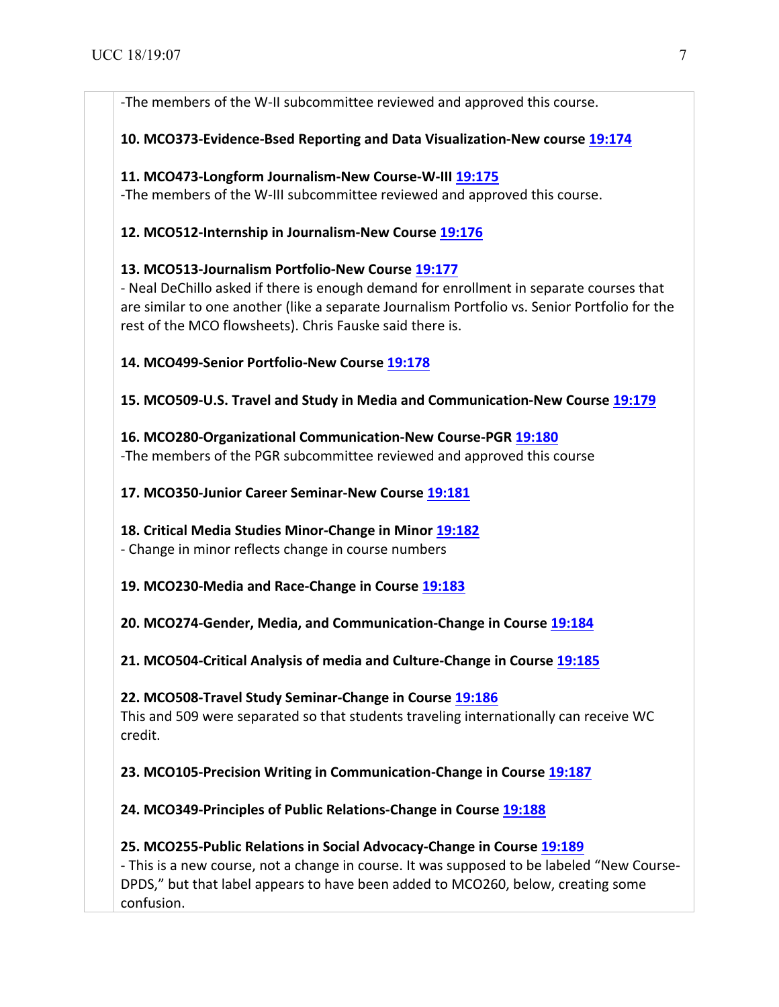-The members of the W-II subcommittee reviewed and approved this course.

**10. MCO373-Evidence-Bsed Reporting and Data Visualization-New course 19:174** 

#### **11. MCO473-Longform Journalism-New Course-W-III 19:175 19:175**

-The members of the W-III subcommittee reviewed and approved this course.

## **12. MCO512-Internship in Journalism-New Course 19:176**

## **13. MCO513-Journalism Portfolio-New Course 19:177 19:177**

- Neal DeChillo asked if there is enough demand for enrollment in separate courses that are similar to one another (like a separate Journalism Portfolio vs. Senior Portfolio for the rest of the MCO flowsheets). Chris Fauske said there is.

## **14. MCO499-Senior Portfolio-New Course 19:178 19:178**

**15. MCO509-U.S. Travel and Study in Media and Communication-New Course 19:179** 

## **16. MCO280-Organizational Communication-New Course-PGR 19:180 19:180** -The members of the PGR subcommittee reviewed and approved this course

## **17. MCO350-Junior Career Seminar-New Course 19:181 19:181**

## **18. Critical Media Studies Minor-Change in Minor 19:182**

- Change in minor reflects change in course numbers

## **19. MCO230-Media and Race-Change in Course 19:183**

# **20. MCO274-Gender, Media, and Communication-Change in Course 19:184**

## **21. MCO504-Critical Analysis of media and Culture-Change in Course 19:185**

## **22. MCO508-Travel Study Seminar-Change in Course 19:186**

This and 509 were separated so that students traveling internationally can receive WC credit.

**23. MCO105-Precision Writing in Communication-Change in Course 19:187** 

## 24. MCO349-Principles of Public Relations-Change in Course 19:188

## **25. MCO255-Public Relations in Social Advocacy-Change in Course 19:189**

- This is a new course, not a change in course. It was supposed to be labeled "New Course-DPDS," but that label appears to have been added to MCO260, below, creating some confusion.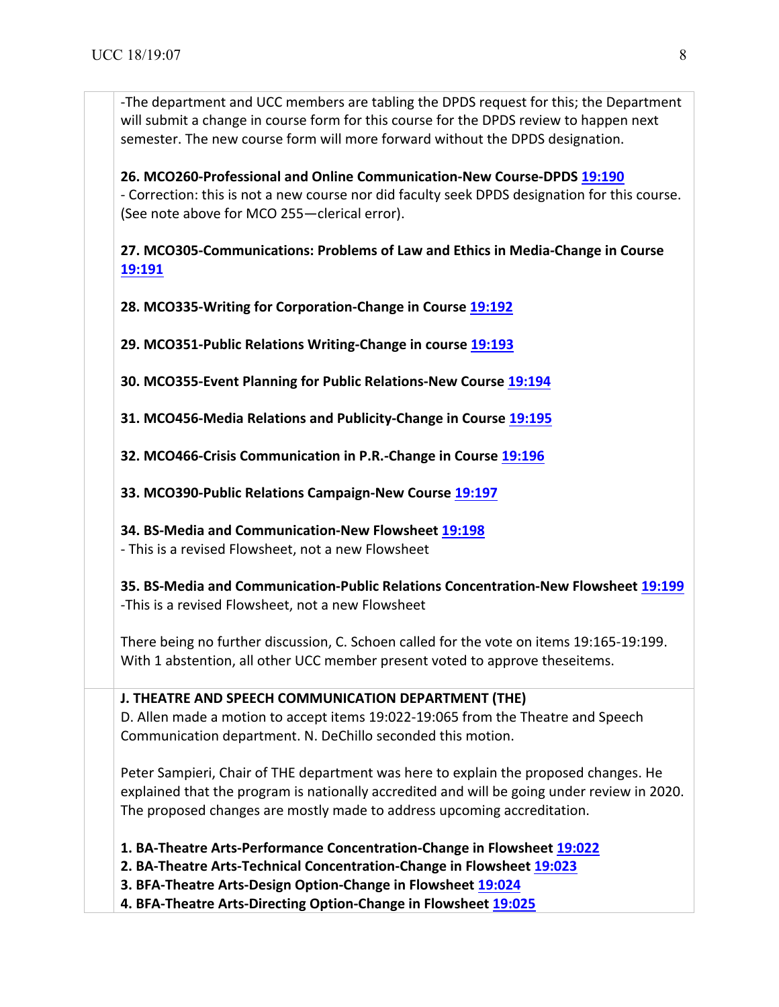-The department and UCC members are tabling the DPDS request for this; the Department will submit a change in course form for this course for the DPDS review to happen next semester. The new course form will more forward without the DPDS designation.

**26. MCO260-Professional and Online Communication-New Course-DPDS 19:190 19:190** - Correction: this is not a new course nor did faculty seek DPDS designation for this course. (See note above for MCO 255—clerical error).

27. MCO305-Communications: Problems of Law and Ethics in Media-Change in Course **19:191 19:191**

**28. MCO335-Writing for Corporation-Change in Course 19:192** 

**29. MCO351-Public Relations Writing-Change in course 19:193** 

**30. MCO355-Event Planning for Public Relations-New Course 19:194** 

**31. MCO456-Media Relations and Publicity-Change in Course 19:195** 

**32. MCO466-Crisis Communication in P.R.-Change in Course 19:196** 

**33. MCO390-Public Relations Campaign-New Course 19:197 19:197**

**34. BS-Media and Communication-New Flowsheet 19:198 19:198**

- This is a revised Flowsheet, not a new Flowsheet

**35. BS-Media and Communication-Public Relations Concentration-New Flowsheet 19:199** -This is a revised Flowsheet, not a new Flowsheet

There being no further discussion, C. Schoen called for the vote on items 19:165-19:199. With 1 abstention, all other UCC member present voted to approve theseitems.

## **J. THEATRE AND SPEECH COMMUNICATION DEPARTMENT (THE)**

D. Allen made a motion to accept items 19:022-19:065 from the Theatre and Speech Communication department. N. DeChillo seconded this motion.

Peter Sampieri, Chair of THE department was here to explain the proposed changes. He explained that the program is nationally accredited and will be going under review in 2020. The proposed changes are mostly made to address upcoming accreditation.

**1. BA-Theatre Arts-Performance Concentration-Change in Flowsheet 19:022 19:022**

**2. BA-Theatre Arts-Technical Concentration-Change in Flowsheet 19:023** 

**3. BFA-Theatre Arts-Design Option-Change in Flowsheet 19:024** 

**4. BFA-Theatre Arts-Directing Option-Change in Flowsheet 19:025 19:025**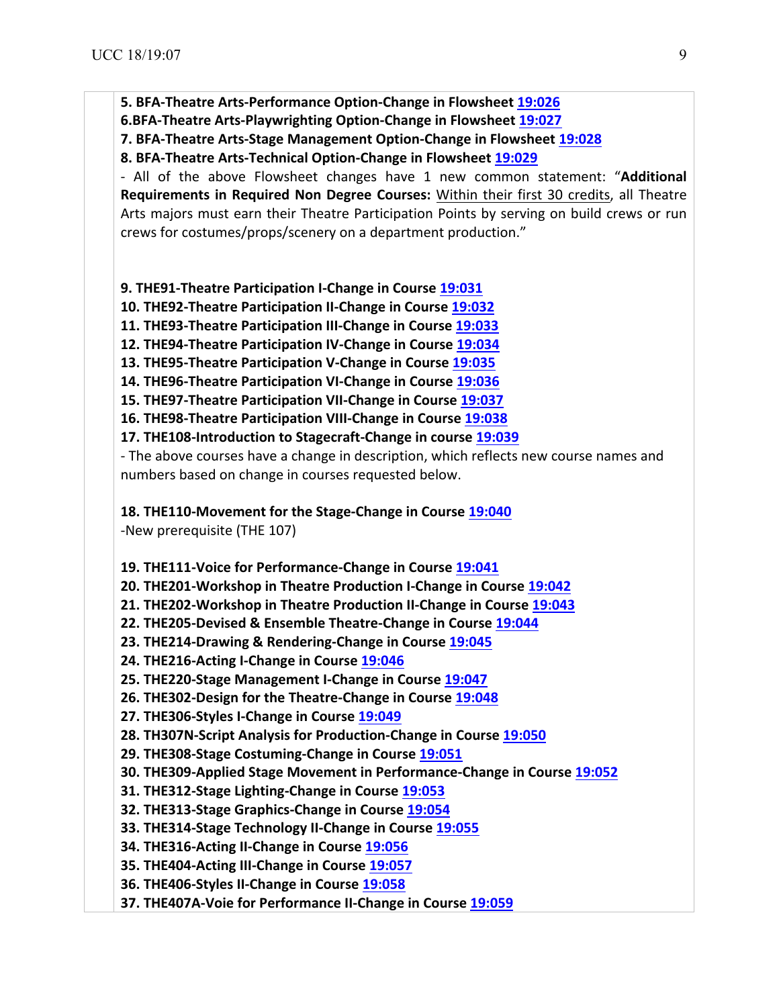**5. BFA-Theatre Arts-Performance Option-Change in Flowsheet 19:026** 

**6.BFA-Theatre Arts-Playwrighting Option-Change in Flowsheet 19:027** 

**7. BFA-Theatre Arts-Stage Management Option-Change in Flowsheet 19:028** 

**8. BFA-Theatre Arts-Technical Option-Change in Flowsheet 19:029 19:029**

- All of the above Flowsheet changes have 1 new common statement: "**Additional** Requirements in Required Non Degree Courses: Within their first 30 credits, all Theatre Arts majors must earn their Theatre Participation Points by serving on build crews or run crews for costumes/props/scenery on a department production."

**9. THE91-Theatre Participation I-Change in Course 19:031** 

**10. THE92-Theatre Participation II-Change in Course 19:032** 

**11. THE93-Theatre Participation III-Change in Course 19:033** 

**12. THE94-Theatre Participation IV-Change in Course 19:034** 

**13. THE95-Theatre Participation V-Change in Course 19:035** 

14. THE96-Theatre Participation VI-Change in Course 19:036

**15. THE97-Theatre Participation VII-Change in Course 19:037** 

**16. THE98-Theatre Participation VIII-Change in Course 19:038** 

**17.** THE108-Introduction to Stagecraft-Change in course **19:039** 

- The above courses have a change in description, which reflects new course names and numbers based on change in courses requested below.

**18. THE110-Movement for the Stage-Change in Course 19:040** 

-New prerequisite (THE 107)

**19. THE111-Voice for Performance-Change in Course 19:041** 

**20. THE201-Workshop in Theatre Production I-Change in Course 19:042** 

**21. THE202-Workshop in Theatre Production II-Change in Course 19:043** 

22. THE205-Devised & Ensemble Theatre-Change in Course 19:044

**23. THE214-Drawing & Rendering-Change in Course 19:045 19:045**

**24. THE216-Acting I-Change in Course 19:046** 

25. THE220-Stage Management I-Change in Course 19:047

**26. THE302-Design for the Theatre-Change in Course 19:048** 

**27. THE306-Styles I-Change in Course 19:049 19:049**

**28. TH307N-Script Analysis for Production-Change in Course 19:050** 

**29. THE308-Stage Costuming-Change in Course 19:051 19:051**

**30. THE309-Applied Stage Movement in Performance-Change in Course 19:052** 

**31. THE312-Stage Lighting-Change in Course 19:053 19:053**

**32. THE313-Stage Graphics-Change in Course 19:054** 

**33. THE314-Stage Technology II-Change in Course 19:055** 

**34. THE316-Acting II-Change in Course 19:056 19:056**

**35. THE404-Acting III-Change in Course 19:057 19:057**

**36. THE406-Styles II-Change in Course 19:058 19:058**

**37. THE407A-Voie for Performance II-Change in Course 19:059**